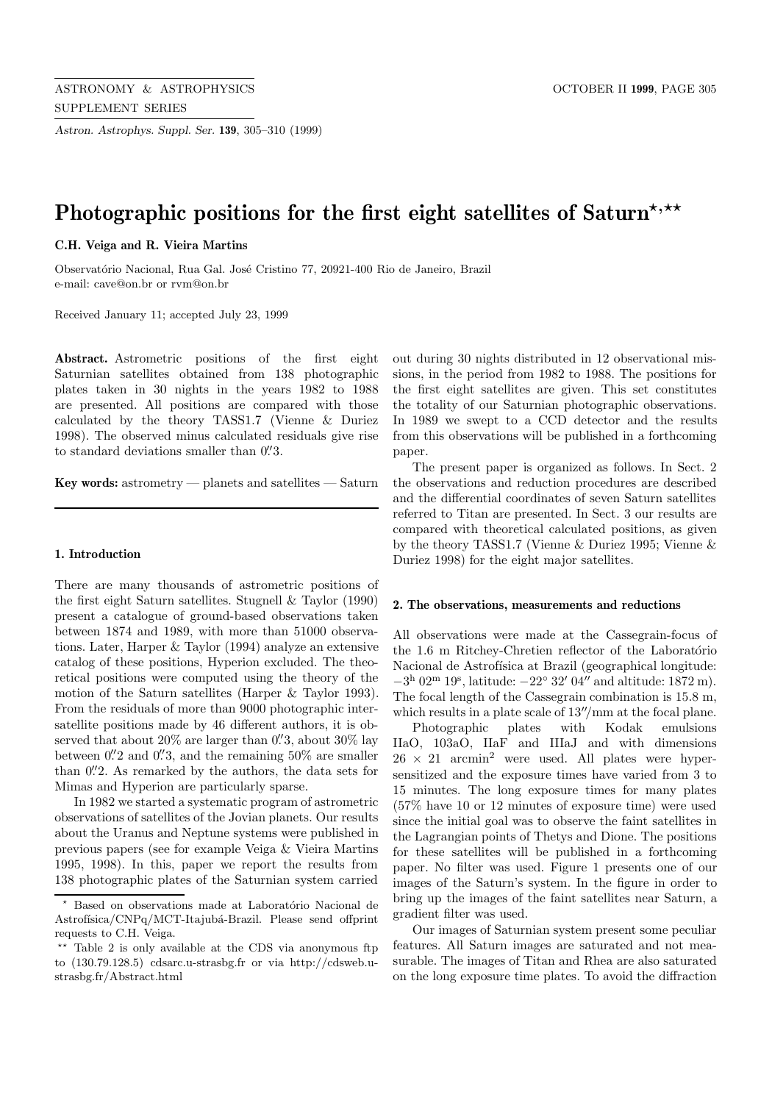*Astron. Astrophys. Suppl. Ser.* **139**, 305–310 (1999)

# Photographic positions for the first eight satellites of Saturn<sup>\*,\*\*</sup>

## **C.H. Veiga and R. Vieira Martins**

Observatório Nacional, Rua Gal. José Cristino 77, 20921-400 Rio de Janeiro, Brazil e-mail: cave@on.br or rvm@on.br

Received January 11; accepted July 23, 1999

**Abstract.** Astrometric positions of the first eight Saturnian satellites obtained from 138 photographic plates taken in 30 nights in the years 1982 to 1988 are presented. All positions are compared with those calculated by the theory TASS1.7 (Vienne & Duriez 1998). The observed minus calculated residuals give rise to standard deviations smaller than  $0\rlap{.}^{\prime\prime}3$ .

**Key words:** astrometry — planets and satellites — Saturn

### **1. Introduction**

There are many thousands of astrometric positions of the first eight Saturn satellites. Stugnell & Taylor (1990) present a catalogue of ground-based observations taken between 1874 and 1989, with more than 51000 observations. Later, Harper & Taylor (1994) analyze an extensive catalog of these positions, Hyperion excluded. The theoretical positions were computed using the theory of the motion of the Saturn satellites (Harper & Taylor 1993). From the residuals of more than 9000 photographic intersatellite positions made by 46 different authors, it is observed that about 20% are larger than  $0\rlap{.}^{\prime\prime}3$ , about 30% lay between  $0\rlap{.}^{\prime\prime}2$  and  $0\rlap{.}^{\prime\prime}3$ , and the remaining  $50\%$  are smaller than 0.'2. As remarked by the authors, the data sets for Mimas and Hyperion are particularly sparse.

In 1982 we started a systematic program of astrometric observations of satellites of the Jovian planets. Our results about the Uranus and Neptune systems were published in previous papers (see for example Veiga & Vieira Martins 1995, 1998). In this, paper we report the results from 138 photographic plates of the Saturnian system carried

out during 30 nights distributed in 12 observational missions, in the period from 1982 to 1988. The positions for the first eight satellites are given. This set constitutes the totality of our Saturnian photographic observations. In 1989 we swept to a CCD detector and the results from this observations will be published in a forthcoming paper.

The present paper is organized as follows. In Sect. 2 the observations and reduction procedures are described and the differential coordinates of seven Saturn satellites referred to Titan are presented. In Sect. 3 our results are compared with theoretical calculated positions, as given by the theory TASS1.7 (Vienne & Duriez 1995; Vienne & Duriez 1998) for the eight major satellites.

#### **2. The observations, measurements and reductions**

All observations were made at the Cassegrain-focus of the 1.6 m Ritchey-Chretien reflector of the Laboratório Nacional de Astrofísica at Brazil (geographical longitude:  $-3<sup>h</sup>$  02<sup>m</sup> 19<sup>s</sup>, latitude:  $-22<sup>o</sup>$  32' 04" and altitude: 1872 m). The focal length of the Cassegrain combination is 15.8 m, which results in a plate scale of  $13''/\text{mm}$  at the focal plane.

Photographic plates with Kodak emulsions IIaO, 103aO, IIaF and IIIaJ and with dimensions  $26 \times 21$  arcmin<sup>2</sup> were used. All plates were hypersensitized and the exposure times have varied from 3 to 15 minutes. The long exposure times for many plates (57% have 10 or 12 minutes of exposure time) were used since the initial goal was to observe the faint satellites in the Lagrangian points of Thetys and Dione. The positions for these satellites will be published in a forthcoming paper. No filter was used. Figure 1 presents one of our images of the Saturn's system. In the figure in order to bring up the images of the faint satellites near Saturn, a gradient filter was used.

Our images of Saturnian system present some peculiar features. All Saturn images are saturated and not measurable. The images of Titan and Rhea are also saturated on the long exposure time plates. To avoid the diffraction

Based on observations made at Laboratório Nacional de Astrofísica/CNPq/MCT-Itajubá-Brazil. Please send offprint requests to C.H. Veiga.

<sup>\*\*</sup> Table 2 is only available at the CDS via anonymous ftp to (130.79.128.5) cdsarc.u-strasbg.fr or via http://cdsweb.ustrasbg.fr/Abstract.html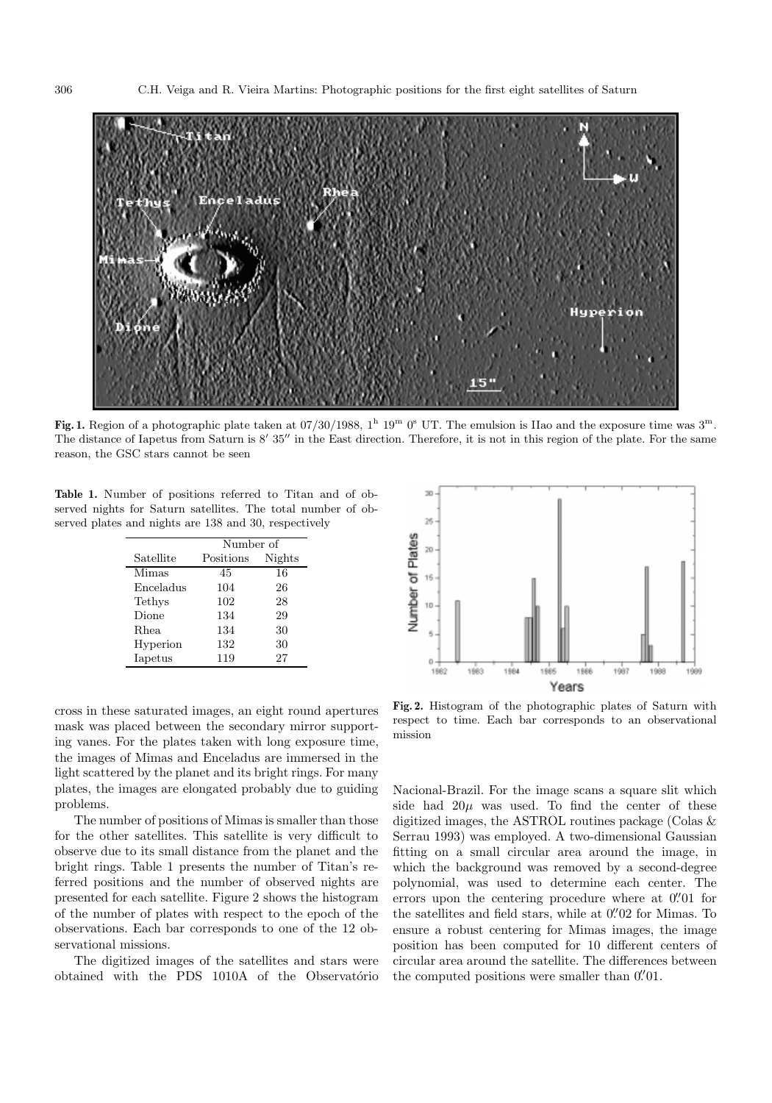

**Fig. 1.** Region of a photographic plate taken at  $07/30/1988$ ,  $1^h 19^m 0^s$  UT. The emulsion is IIao and the exposure time was  $3^m$ . The distance of Iapetus from Saturn is  $8'$  35" in the East direction. Therefore, it is not in this region of the plate. For the same reason, the GSC stars cannot be seen

**Table 1.** Number of positions referred to Titan and of observed nights for Saturn satellites. The total number of observed plates and nights are 138 and 30, respectively

|           | Number of |        |  |
|-----------|-----------|--------|--|
| Satellite | Positions | Nights |  |
| Mimas     | 45        | 16     |  |
| Enceladus | 104       | 26     |  |
| Tethys    | 102       | 28     |  |
| Dione     | 134       | 29     |  |
| Rhea      | 134       | 30     |  |
| Hyperion  | 132       | 30     |  |
| Iapetus   | 119       | 27     |  |

cross in these saturated images, an eight round apertures mask was placed between the secondary mirror supporting vanes. For the plates taken with long exposure time, the images of Mimas and Enceladus are immersed in the light scattered by the planet and its bright rings. For many plates, the images are elongated probably due to guiding problems.

The number of positions of Mimas is smaller than those for the other satellites. This satellite is very difficult to observe due to its small distance from the planet and the bright rings. Table 1 presents the number of Titan's referred positions and the number of observed nights are presented for each satellite. Figure 2 shows the histogram of the number of plates with respect to the epoch of the observations. Each bar corresponds to one of the 12 observational missions.

The digitized images of the satellites and stars were obtained with the PDS 1010A of the Observatorio



**Fig. 2.** Histogram of the photographic plates of Saturn with respect to time. Each bar corresponds to an observational mission

Nacional-Brazil. For the image scans a square slit which side had  $20\mu$  was used. To find the center of these digitized images, the ASTROL routines package (Colas & Serrau 1993) was employed. A two-dimensional Gaussian fitting on a small circular area around the image, in which the background was removed by a second-degree polynomial, was used to determine each center. The errors upon the centering procedure where at  $0''/01$  for the satellites and field stars, while at  $0\rlap.{''}02$  for Mimas. To ensure a robust centering for Mimas images, the image position has been computed for 10 different centers of circular area around the satellite. The differences between the computed positions were smaller than  $0\rlap.{''}01$ .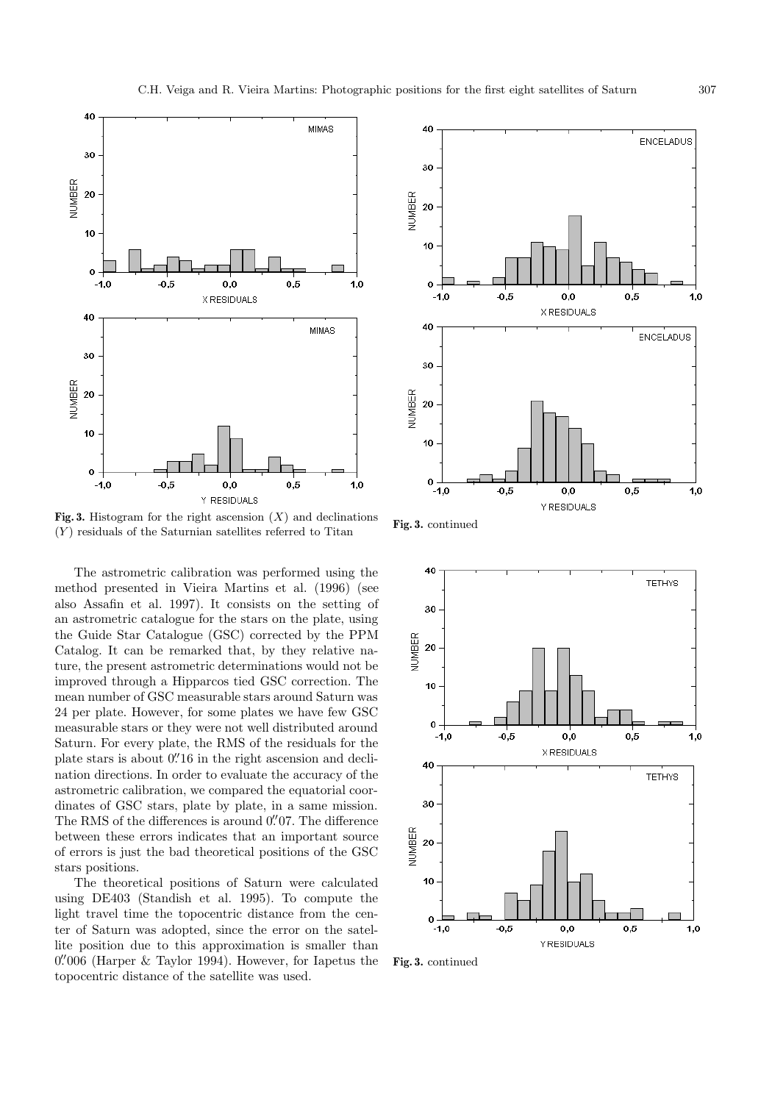

**Fig. 3.** Histogram for the right ascension  $(X)$  and declinations  $(Y)$  residuals of the Saturnian satellites referred to Titan

The astrometric calibration was performed using the method presented in Vieira Martins et al. (1996) (see also Assafin et al. 1997). It consists on the setting of an astrometric catalogue for the stars on the plate, using the Guide Star Catalogue (GSC) corrected by the PPM Catalog. It can be remarked that, by they relative nature, the present astrometric determinations would not be improved through a Hipparcos tied GSC correction. The mean number of GSC measurable stars around Saturn was 24 per plate. However, for some plates we have few GSC measurable stars or they were not well distributed around Saturn. For every plate, the RMS of the residuals for the plate stars is about 0.  $0.16$  in the right ascension and declination directions. In order to evaluate the accuracy of the astrometric calibration, we compared the equatorial coordinates of GSC stars, plate by plate, in a same mission. The RMS of the differences is around  $0\rlap.{''}07$ . The difference between these errors indicates that an important source of errors is just the bad theoretical positions of the GSC stars positions.

The theoretical positions of Saturn were calculated using DE403 (Standish et al. 1995). To compute the light travel time the topocentric distance from the center of Saturn was adopted, since the error on the satellite position due to this approximation is smaller than  $0\rlap.{''}006$  (Harper & Taylor 1994). However, for Iapetus the topocentric distance of the satellite was used.



**Fig. 3.** continued



**Fig. 3.** continued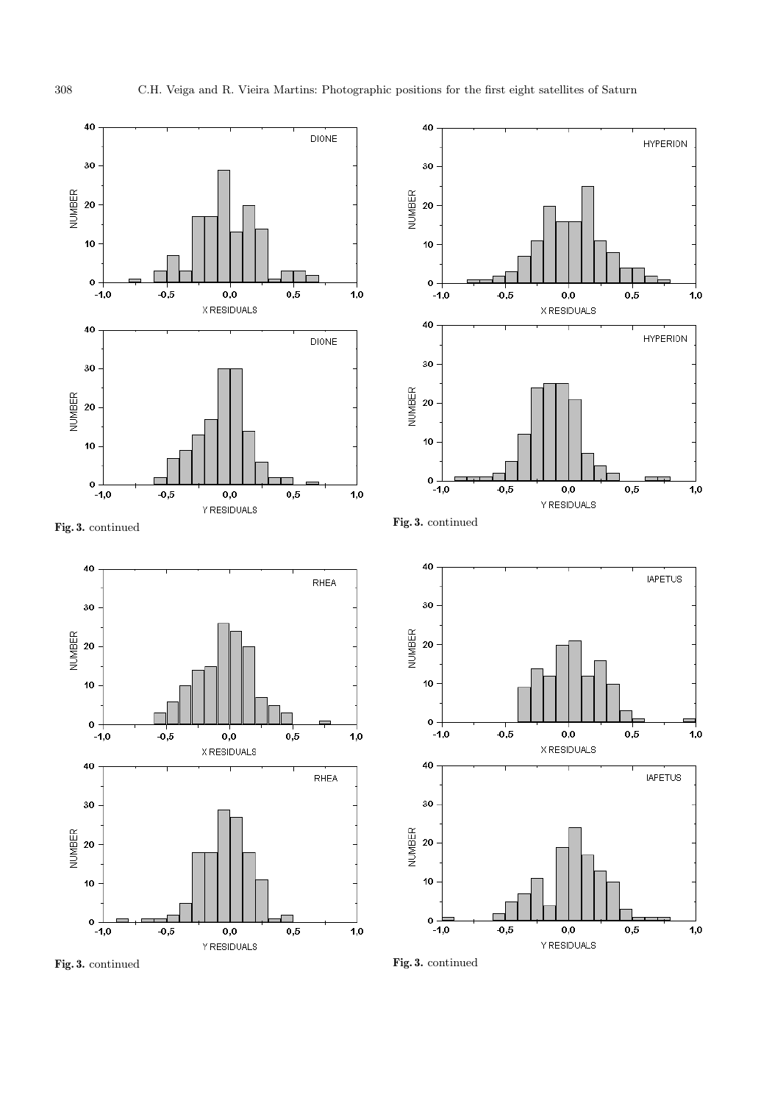$1,0$ 

 $1,0$ 

 $1,0$ 

 $\bf 1,\!0$ 



**Fig. 3.** continued

**Fig. 3.** continued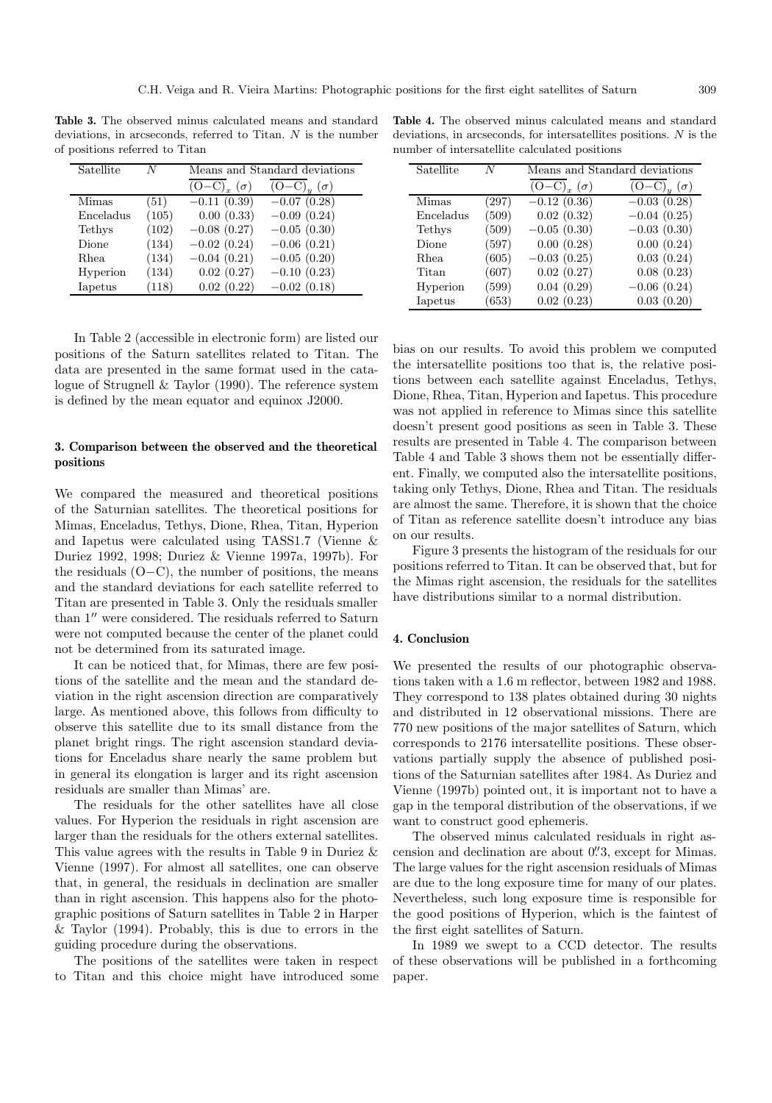**Table 3.** The observed minus calculated means and standard deviations, in arcseconds, referred to Titan. N is the number of positions referred to Titan

| Satellite | N     | Means and Standard deviations |               |
|-----------|-------|-------------------------------|---------------|
|           |       | $(O-C)_{x}(\sigma)$           | $(\sigma)$    |
| Mimas     | (51)  | $-0.11(0.39)$                 | $-0.07(0.28)$ |
| Enceladus | (105) | 0.00(0.33)                    | $-0.09(0.24)$ |
| Tethys    | (102) | $-0.08$ $(0.27)$              | $-0.05(0.30)$ |
| Dione     | (134) | $-0.02(0.24)$                 | $-0.06(0.21)$ |
| Rhea      | (134) | $-0.04(0.21)$                 | $-0.05(0.20)$ |
| Hyperion  | (134) | 0.02(0.27)                    | $-0.10(0.23)$ |
| Iapetus   | (118) | 0.02(0.22)                    | $-0.02(0.18)$ |

In Table 2 (accessible in electronic form) are listed our positions of the Saturn satellites related to Titan. The data are presented in the same format used in the catalogue of Strugnell & Taylor (1990). The reference system is defined by the mean equator and equinox J2000.

## **3. Comparison between the observed and the theoretical positions**

We compared the measured and theoretical positions of the Saturnian satellites. The theoretical positions for Mimas, Enceladus, Tethys, Dione, Rhea, Titan, Hyperion and Iapetus were calculated using TASS1.7 (Vienne & Duriez 1992, 1998; Duriez & Vienne 1997a, 1997b). For the residuals  $(O-C)$ , the number of positions, the means and the standard deviations for each satellite referred to Titan are presented in Table 3. Only the residuals smaller than  $1''$  were considered. The residuals referred to Saturn were not computed because the center of the planet could not be determined from its saturated image.

It can be noticed that, for Mimas, there are few positions of the satellite and the mean and the standard deviation in the right ascension direction are comparatively large. As mentioned above, this follows from difficulty to observe this satellite due to its small distance from the planet bright rings. The right ascension standard deviations for Enceladus share nearly the same problem but in general its elongation is larger and its right ascension residuals are smaller than Mimas' are.

The residuals for the other satellites have all close values. For Hyperion the residuals in right ascension are larger than the residuals for the others external satellites. This value agrees with the results in Table 9 in Duriez & Vienne (1997). For almost all satellites, one can observe that, in general, the residuals in declination are smaller than in right ascension. This happens also for the photographic positions of Saturn satellites in Table 2 in Harper & Taylor (1994). Probably, this is due to errors in the guiding procedure during the observations.

The positions of the satellites were taken in respect to Titan and this choice might have introduced some

**Table 4.** The observed minus calculated means and standard deviations, in arcseconds, for intersatellites positions. N is the number of intersatellite calculated positions

| Satellite | N     | Means and Standard deviations   |                                                  |
|-----------|-------|---------------------------------|--------------------------------------------------|
|           |       | $(O-C)$ <sub>r</sub> $(\sigma)$ | $\overline{(\text{O}-\text{C})}_u$<br>$(\sigma)$ |
| Mimas     | (297) | $-0.12\overline{(0.36)}$        | $-0.03(0.28)$                                    |
| Enceladus | (509) | 0.02(0.32)                      | $-0.04(0.25)$                                    |
| Tethys    | (509) | $-0.05(0.30)$                   | $-0.03(0.30)$                                    |
| Dione     | (597) | 0.00(0.28)                      | 0.00(0.24)                                       |
| Rhea      | (605) | $-0.03(0.25)$                   | 0.03(0.24)                                       |
| Titan     | (607) | 0.02(0.27)                      | 0.08(0.23)                                       |
| Hyperion  | (599) | 0.04(0.29)                      | $-0.06(0.24)$                                    |
| Iapetus   | (653) | 0.02(0.23)                      | 0.03(0.20)                                       |

bias on our results. To avoid this problem we computed the intersatellite positions too that is, the relative positions between each satellite against Enceladus, Tethys, Dione, Rhea, Titan, Hyperion and Iapetus. This procedure was not applied in reference to Mimas since this satellite doesn't present good positions as seen in Table 3. These results are presented in Table 4. The comparison between Table 4 and Table 3 shows them not be essentially different. Finally, we computed also the intersatellite positions, taking only Tethys, Dione, Rhea and Titan. The residuals are almost the same. Therefore, it is shown that the choice of Titan as reference satellite doesn't introduce any bias on our results.

Figure 3 presents the histogram of the residuals for our positions referred to Titan. It can be observed that, but for the Mimas right ascension, the residuals for the satellites have distributions similar to a normal distribution.

## **4. Conclusion**

We presented the results of our photographic observations taken with a 1.6 m reflector, between 1982 and 1988. They correspond to 138 plates obtained during 30 nights and distributed in 12 observational missions. There are 770 new positions of the major satellites of Saturn, which corresponds to 2176 intersatellite positions. These observations partially supply the absence of published positions of the Saturnian satellites after 1984. As Duriez and Vienne (1997b) pointed out, it is important not to have a gap in the temporal distribution of the observations, if we want to construct good ephemeris.

The observed minus calculated residuals in right ascension and declination are about  $0\rlap{.}^{\prime\prime}3$ , except for Mimas. The large values for the right ascension residuals of Mimas are due to the long exposure time for many of our plates. Nevertheless, such long exposure time is responsible for the good positions of Hyperion, which is the faintest of the first eight satellites of Saturn.

In 1989 we swept to a CCD detector. The results of these observations will be published in a forthcoming paper.